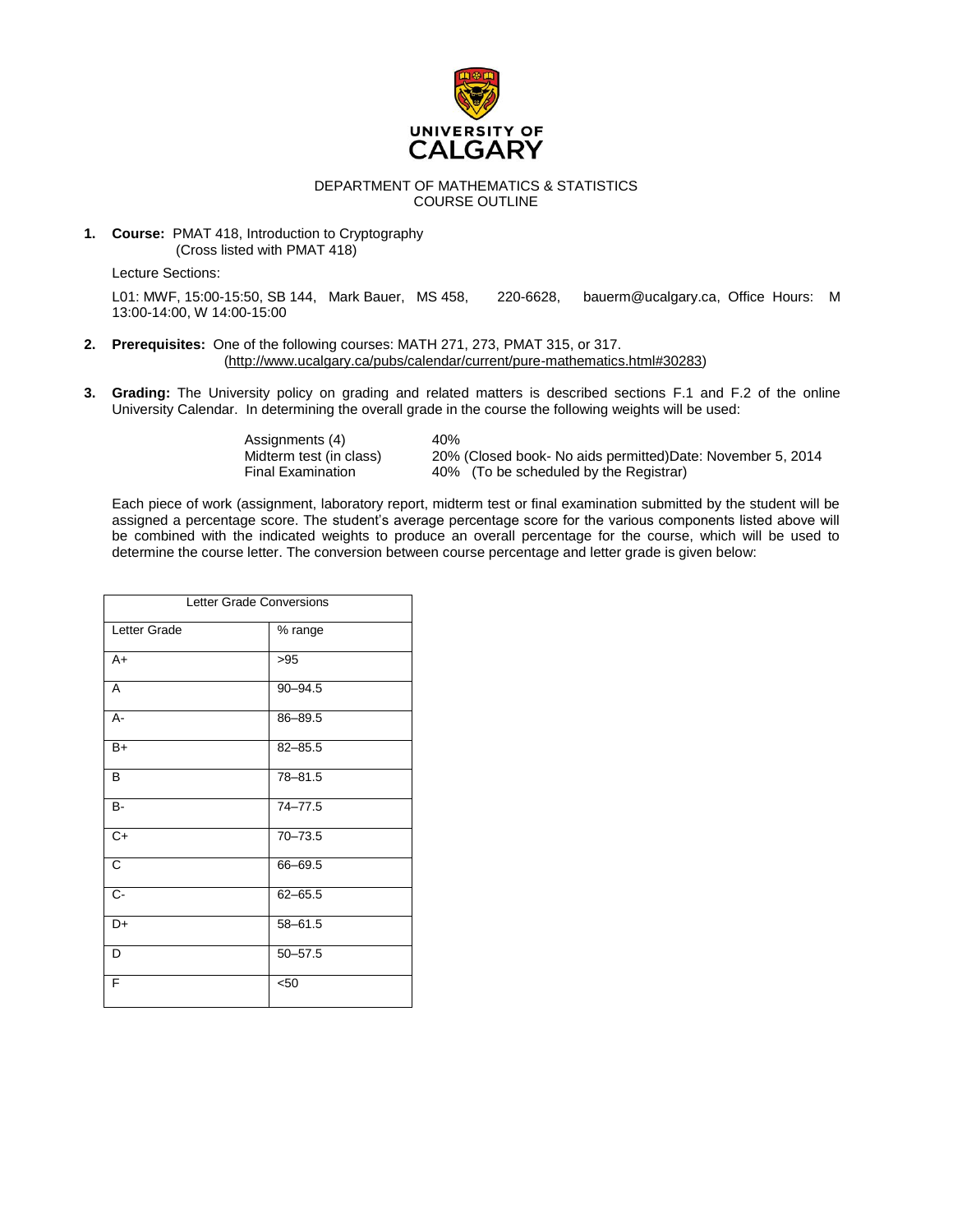

## DEPARTMENT OF MATHEMATICS & STATISTICS COURSE OUTLINE

**1. Course:** PMAT 418, Introduction to Cryptography (Cross listed with PMAT 418)

Lecture Sections:

L01: MWF, 15:00-15:50, SB 144, Mark Bauer, MS 458, 220-6628, bauerm@ucalgary.ca, Office Hours: M 13:00-14:00, W 14:00-15:00

- **2. Prerequisites:** One of the following courses: MATH 271, 273, PMAT 315, or 317. [\(http://www.ucalgary.ca/pubs/calendar/current/pure-mathematics.html#30283\)](http://www.ucalgary.ca/pubs/calendar/current/pure-mathematics.html#30283)
- **3. Grading:** The University policy on grading and related matters is described sections [F.1](http://www.ucalgary.ca/pubs/calendar/current/f-1.html) and [F.2](http://www.ucalgary.ca/pubs/calendar/current/f-2.html) of the online University Calendar. In determining the overall grade in the course the following weights will be used:

| Assignments (4)          | 40%                                                         |
|--------------------------|-------------------------------------------------------------|
| Midterm test (in class)  | 20% (Closed book- No aids permitted) Date: November 5, 2014 |
| <b>Final Examination</b> | 40% (To be scheduled by the Registrar)                      |

Each piece of work (assignment, laboratory report, midterm test or final examination submitted by the student will be assigned a percentage score. The student's average percentage score for the various components listed above will be combined with the indicated weights to produce an overall percentage for the course, which will be used to determine the course letter. The conversion between course percentage and letter grade is given below:

| Letter Grade Conversions |             |  |
|--------------------------|-------------|--|
| Letter Grade             | % range     |  |
| $A+$                     | >95         |  |
| $\overline{A}$           | $90 - 94.5$ |  |
| $A -$                    | 86-89.5     |  |
| $B+$                     | $82 - 85.5$ |  |
| B                        | $78 - 81.5$ |  |
| <b>B-</b>                | $74 - 77.5$ |  |
| $C+$                     | $70 - 73.5$ |  |
| $\overline{c}$           | 66-69.5     |  |
| $\overline{C}$           | $62 - 65.5$ |  |
| D+                       | $58 - 61.5$ |  |
| D                        | $50 - 57.5$ |  |
| F                        | < 50        |  |